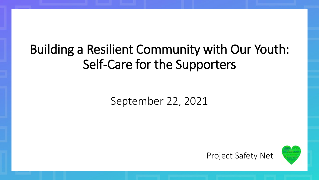## Building a Resilient Community with Our Youth: Self-Care for the Supporters

### September 22, 2021

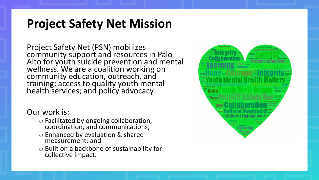### **Project Safety Net Mission**

Project Safety Net (PSN) mobilizes community support and resources in Palo Alto for youth suicide prevention and mental wellness. We are a coalition working on community education, outreach, and training; access to quality youth mental health services; and policy advocacy.

Our work is:

- o Facilitated by ongoing collaboration, coordination, and communications;
- o Enhanced by evaluation & shared measurement; and
- o Built on a backbone of sustainability for collective impact.

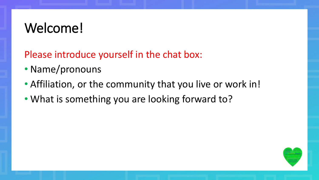## Welcome!

Please introduce yourself in the chat box:

- Name/pronouns
- Affiliation, or the community that you live or work in!
- What is something you are looking forward to?

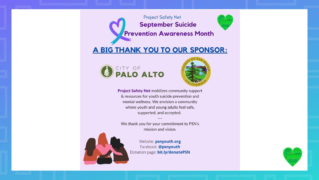

#### A BIG THANK YOU TO OUR SPONSOR:





**Project Safety Net mobilizes community support** & resources for youth suicide prevention and mental wellness. We envision a community where youth and young adults feel safe, supported, and accepted.

We thank you for your commitment to PSN's mission and vision.



Website: psnyouth.org Facebook: @psnyouth Donation page: bit.ly/donatePSN

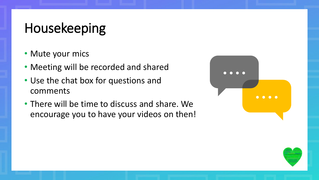## Housekeeping

- Mute your mics
- Meeting will be recorded and shared
- Use the chat box for questions and comments
- There will be time to discuss and share. We encourage you to have your videos on then!



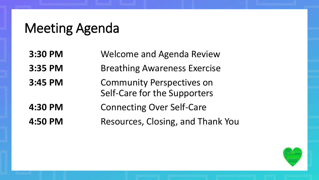### Meeting Agenda

**3:30 PM** Welcome and Agenda Review **3:35 PM** Breathing Awareness Exercise **3:45 PM** Community Perspectives on Self-Care for the Supporters **4:30 PM** Connecting Over Self-Care **4:50 PM** Resources, Closing, and Thank You

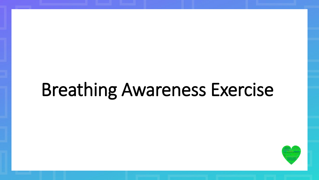# Breathing Awareness Exercise

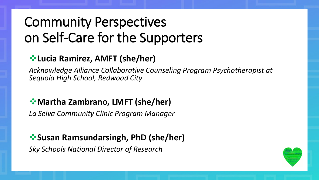## Community Perspectives on Self-Care for the Supporters

#### ❖**Lucia Ramirez, AMFT (she/her)**

*Acknowledge Alliance Collaborative Counseling Program Psychotherapist at Sequoia High School, Redwood City*

#### ❖**Martha Zambrano, LMFT (she/her)**

*La Selva Community Clinic Program Manager*

#### ❖**Susan Ramsundarsingh, PhD (she/her)**

*Sky Schools National Director of Research* 

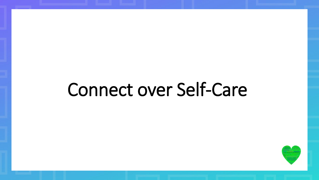# Connect over Self-Care

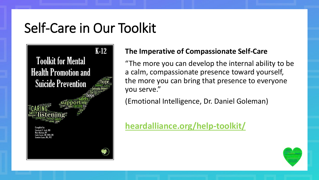### Self-Care in Our Toolkit

 $K-12$ **Toolkit for Mental Health Promotion and Suicide Prevention** 

#### **The Imperative of Compassionate Self-Care**

"The more you can develop the internal ability to be a calm, compassionate presence toward yourself, the more you can bring that presence to everyone you serve."

(Emotional Intelligence, Dr. Daniel Goleman)

**[heardalliance.org/help-toolkit/](https://www.heardalliance.org/help-toolkit/)** 

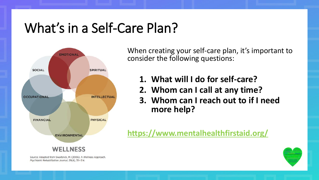## What's in a Self-Care Plan?



Source: Adapted from Swarbrick, M. (2006). A Wellness Approach. Psychiatric Rehabilitation Journal, 29(4), 311-314.

When creating your self-care plan, it's important to consider the following questions:

- **1. What will I do for self-care?**
- **2. Whom can I call at any time?**
- **3. Whom can I reach out to if I need more help?**

**<https://www.mentalhealthfirstaid.org/>**

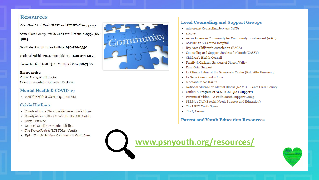#### **Resources**

Crisis Text Line: Text "BAY" or "RENEW" to 741741

Santa Clara County Suicide and Crisis Hotline: 1-855-278-4204

San Mateo County Crisis Hotline: 650-579-0350

National Suicide Prevention Lifeline: 1-800-273-8255

Trevor Lifeline (LGBTQIA+ Youth):1-866-488-7386

#### **Emergencies:**

Call or Text 911 and ask for Crisis Intervention Trained (CIT) officer

#### **Mental Health & COVID-19**

• Mental Health & COVID-19 Resources

#### **Crisis Hotlines**

- County of Santa Clara Suicide Prevention & Crisis
- County of Santa Clara Mental Health Call Center
- Crisis Text Line
- · National Suicide Prevention Lifeline
- The Trevor Project (LGBTQIA+ Youth)
- UpLift Family Services Continuum of Crisis Care



#### **Local Counseling and Support Groups**

- Adolescent Counseling Services (ACS)
- · allcove
- Asian American Community for Community Involvement (AACI)
- ASPIRE at El Camino Hospital
- Bay Area Children's Association (BACA)
- Counseling and Support Services for Youth (CASSY)
- Children's Health Council
- Family & Children Services of Silicon Valley
- Kara Grief Support
- La Clínica Latina at the Granowski Center (Palo Alto University)
- La Selva Community Clinic
- Momentum for Health
- National Alliance on Mental Illness (NAMI) Santa Clara County
- Outlet (A Program of ACS, LGBTQIA+ Support)
- Parents of Vision A Faith Based Support Group
- SELPA 1 CAC (Special Needs Support and Education)
- The LGBT Youth Space
- The Q Corner

**Parent and Youth Education Resources** 

**[www.psnyouth.org/resources/](https://www.psnyouth.org/resources/)**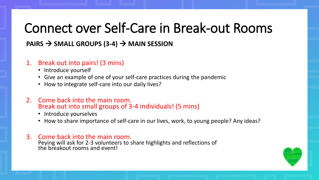## Connect over Self-Care in Break-out Rooms

#### **PAIRS** → **SMALL GROUPS (3-4)** → **MAIN SESSION**

#### 1. Break out into pairs! (3 mins)

- Introduce yourself
- Give an example of one of your self-care practices during the pandemic
- How to integrate self-care into our daily lives?
- 2. Come back into the main room. Break out into small groups of 3-4 individuals! (5 mins)
	- Introduce yourselves
	- How to share importance of self-care in our lives, work, to young people? Any ideas?

#### 3. Come back into the main room.

Peying will ask for 2-3 volunteers to share highlights and reflections of the breakout rooms and event!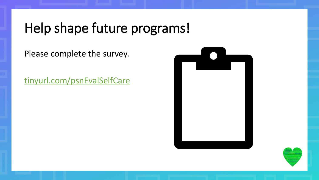## Help shape future programs!

Please complete the survey.

<tinyurl.com/psnEvalSelfCare>



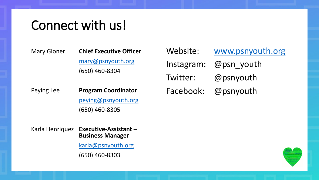### Connect with us!

| Mary Gloner | <b>Chief Executive Officer</b> |
|-------------|--------------------------------|
|             | mary@psnyouth.org              |
|             | $(650)$ 460-8304               |

Website: [www.psnyouth.org](http://www.psnyouth.org/) Instagram: @psn\_youth Twitter: @psnyouth Facebook: @psnyouth

Peying Lee [peying@psnyouth.org](mailto:peying@psnyouth.org) **Program Coordinator** (650) 460-8305

> Karla Henriquez **Executive-Assistant – Business Manager** [karla@psnyouth.org](mailto:karla@psnyouth.org) (650) 460-8303

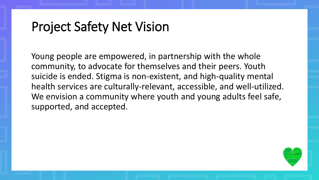### Project Safety Net Vision

Young people are empowered, in partnership with the whole community, to advocate for themselves and their peers. Youth suicide is ended. Stigma is non-existent, and high-quality mental health services are culturally-relevant, accessible, and well-utilized. We envision a community where youth and young adults feel safe, supported, and accepted.